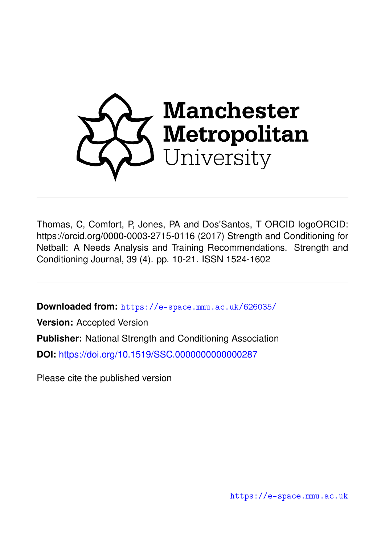

Thomas, C, Comfort, P, Jones, PA and Dos'Santos, T ORCID logoORCID: https://orcid.org/0000-0003-2715-0116 (2017) Strength and Conditioning for Netball: A Needs Analysis and Training Recommendations. Strength and Conditioning Journal, 39 (4). pp. 10-21. ISSN 1524-1602

**Downloaded from:** <https://e-space.mmu.ac.uk/626035/>

**Version:** Accepted Version **Publisher:** National Strength and Conditioning Association

**DOI:** <https://doi.org/10.1519/SSC.0000000000000287>

Please cite the published version

<https://e-space.mmu.ac.uk>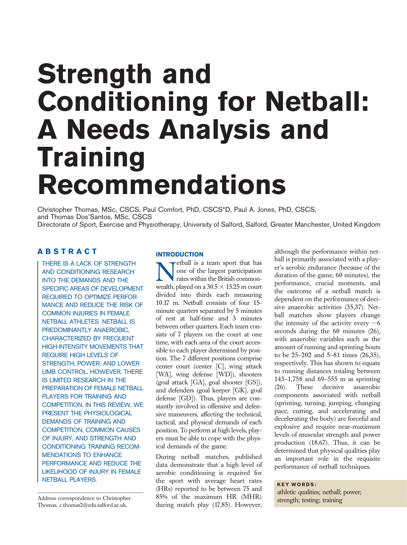# Strength and Conditioning for Netball: A Needs Analysis and **Training** Recommendations

Christopher Thomas, MSc, CSCS, Paul Comfort, PhD, CSCS\*D, Paul A. Jones, PhD, CSCS, and Thomas Dos'Santos, MSc, CSCS Directorate of Sport, Exercise and Physiotherapy, University of Salford, Salford, Greater Manchester, United Kingdom

# ABSTRACT

THERE IS A LACK OF STRENGTH AND CONDITIONING RESEARCH INTO THE DEMANDS AND THE SPECIFIC AREAS OF DEVELOPMENT REQUIRED TO OPTIMIZE PERFOR-MANCE AND REDUCE THE RISK OF COMMON INJURIES IN FEMALE NETBALL ATHLETES. NETBALL IS PREDOMINANTLY ANAEROBIC, CHARACTERIZED BY FREQUENT HIGH-INTENSITY MOVEMENTS THAT REQUIRE HIGH LEVELS OF STRENGTH, POWER, AND LOWER LIMB CONTROL. HOWEVER, THERE IS LIMITED RESEARCH IN THE PREPARATION OF FEMALE NETBALL PLAYERS FOR TRAINING AND COMPETITION. IN THIS REVIEW, WE PRESENT THE PHYSIOLOGICAL DEMANDS OF TRAINING AND COMPETITION, COMMON CAUSES OF INJURY, AND STRENGTH AND CONDITIONING TRAINING RECOM-MENDATIONS TO ENHANCE PERFORMANCE AND REDUCE THE LIKELIHOOD OF INJURY IN FEMALE NETBALL PLAYERS.

Address correspondence to Christopher Thomas, [c.thomas2@edu.salford.ac.uk](mailto:c.thomas2@edu.salford.ac.uk).

# **INTRODUCTION**

**Netball is a team sport that has<br>
one of the largest participation<br>
rates within the British common-<br>
wealth played on a**  $30.5 \times 15.25$  **m court** one of the largest participation rates within the British commonwealth, played on a  $30.5 \times 15.25$  m court divided into thirds each measuring 10.17 m. Netball consists of four 15 minute quarters separated by 5 minutes of rest at half-time and 3 minutes between other quarters. Each team consists of 7 players on the court at one time, with each area of the court accessible to each player determined by position. The 7 different positions comprise center court (center [C], wing attack [WA], wing defense [WD]), shooters (goal attack [GA], goal shooter [GS]), and defenders (goal keeper [GK], goal defense [GD]). Thus, players are constantly involved in offensive and defensive maneuvers, affecting the technical, tactical, and physical demands of each position. To perform at high levels, players must be able to cope with the physical demands of the game.

During netball matches, published data demonstrate that a high level of aerobic conditioning is required for the sport with average heart rates (HRs) reported to be between 75 and 85% of the maximum HR (MHR) during match play (17,85). However, although the performance within netball is primarily associated with a player's aerobic endurance (because of the duration of the game, 60 minutes), the performance, crucial moments, and the outcome of a netball match is dependent on the performance of decisive anaerobic activities (35,37). Netball matches show players change the intensity of the activity every  $\sim 6$ seconds during the 60 minutes (26), with anaerobic variables such as the amount of running and sprinting bouts to be 25–202 and 5–81 times (26,35), respectively. This has shown to equate to running distances totaling between 143–1,758 and 69–555 m as sprinting (26). These decisive anaerobic components associated with netball (sprinting, turning, jumping, changing pace, cutting, and accelerating and decelerating the body) are forceful and explosive and require near-maximum levels of muscular strength and power production (18,67). Thus, it can be determined that physical qualities play an important role in the requisite performance of netball techniques.

KEY WORDS: athletic qualities; netball; power; strength; testing; training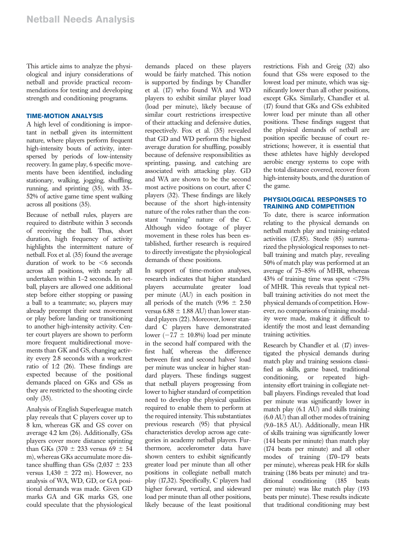This article aims to analyze the physiological and injury considerations of netball and provide practical recommendations for testing and developing strength and conditioning programs.

# TIME-MOTION ANALYSIS

A high level of conditioning is important in netball given its intermittent nature, where players perform frequent high-intensity bouts of activity, interspersed by periods of low-intensity recovery. In game play, 6 specific movements have been identified, including stationary, walking, jogging, shuffling, running, and sprinting (35), with 35– 52% of active game time spent walking across all positions (35).

Because of netball rules, players are required to distribute within 3 seconds of receiving the ball. Thus, short duration, high frequency of activity highlights the intermittent nature of netball. Fox et al. (35) found the average duration of work to be  $<6$  seconds across all positions, with nearly all undertaken within 1–2 seconds. In netball, players are allowed one additional step before either stopping or passing a ball to a teammate; so, players may already preempt their next movement or play before landing or transitioning to another high-intensity activity. Center court players are shown to perform more frequent multidirectional movements than GK and GS, changing activity every 2.8 seconds with a work:rest ratio of 1:2 (26). These findings are expected because of the positional demands placed on GKs and GSs as they are restricted to the shooting circle only (35).

Analysis of English Superleague match play reveals that C players cover up to 8 km, whereas GK and GS cover on average 4.2 km (26). Additionally, GSs players cover more distance sprinting than GKs  $(370 \pm 233 \text{ versus } 69 \pm 54$ m), whereas GKs accumulate more distance shuffling than GSs  $(2,037 \pm 233)$ versus  $1,430 \pm 272$  m). However, no analysis of WA, WD, GD, or GA positional demands was made. Given GD marks GA and GK marks GS, one could speculate that the physiological

demands placed on these players would be fairly matched. This notion is supported by findings by Chandler et al. (17) who found WA and WD players to exhibit similar player load (load per minute), likely because of similar court restrictions irrespective of their attacking and defensive duties, respectively. Fox et al. (35) revealed that GD and WD perform the highest average duration for shuffling, possibly because of defensive responsibilities as sprinting, passing, and catching are associated with attacking play. GD and WA are shown to be the second most active positions on court, after C players (32). These findings are likely because of the short high-intensity nature of the roles rather than the constant "running" nature of the C. Although video footage of player movement in these roles has been established, further research is required to directly investigate the physiological demands of these positions.

In support of time-motion analyses, research indicates that higher standard players accumulate greater load per minute (AU) in each position in all periods of the match (9.96  $\pm$  2.50 versus 6.88  $\pm$  1.88 AU) than lower standard players (22). Moreover, lower standard C players have demonstrated lower ( $-7.7 \pm 10.8\%$ ) load per minute in the second half compared with the first half whereas the difference between first and second halves' load per minute was unclear in higher standard players. These findings suggest that netball players progressing from lower to higher standard of competition need to develop the physical qualities required to enable them to perform at the required intensity. This substantiates previous research (95) that physical characteristics develop across age categories in academy netball players. Furthermore, accelerometer data have shown centers to exhibit significantly greater load per minute than all other positions in collegiate netball match play (17,32). Specifically, C players had higher forward, vertical, and sideward load per minute than all other positions, likely because of the least positional

restrictions. Fish and Greig (32) also found that GSs were exposed to the lowest load per minute, which was significantly lower than all other positions, except GKs. Similarly, Chandler et al. (17) found that GKs and GSs exhibited lower load per minute than all other positions. These findings suggest that the physical demands of netball are position specific because of court restrictions; however, it is essential that these athletes have highly developed aerobic energy systems to cope with the total distance covered, recover from high-intensity bouts, and the duration of the game.

## PHYSIOLOGICAL RESPONSES TO TRAINING AND COMPETITION

To date, there is scarce information relating to the physical demands on netball match play and training-related activities (17,85). Steele (85) summarized the physiological responses to netball training and match play, revealing 50% of match play was performed at an average of 75–85% of MHR, whereas 43% of training time was spent  $< 75%$ of MHR. This reveals that typical netball training activities do not meet the physical demands of competition. However, no comparisons of training modality were made, making it difficult to identify the most and least demanding training activities.

Research by Chandler et al. (17) investigated the physical demands during match play and training sessions classified as skills, game based, traditional conditioning, or repeated highintensity effort training in collegiate netball players. Findings revealed that load per minute was significantly lower in match play (6.1 AU) and skills training (6.0 AU) than all other modes of training (9.0–18.5 AU). Additionally, mean HR of skills training was significantly lower (144 beats per minute) than match play (174 beats per minute) and all other modes of training (170–179 beats per minute), whereas peak HR for skills training (186 beats per minute) and traditional conditioning (185 beats per minute) was like match play (193 beats per minute). These results indicate that traditional conditioning may best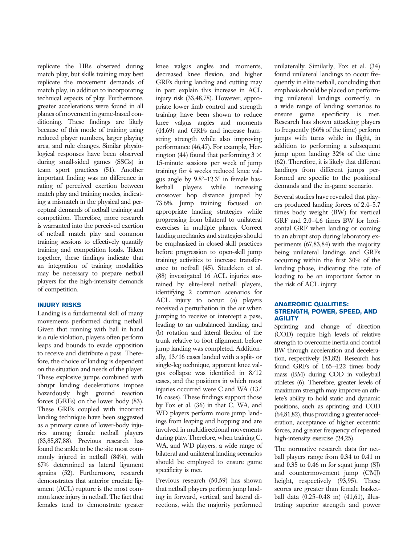replicate the HRs observed during match play, but skills training may best replicate the movement demands of match play, in addition to incorporating technical aspects of play. Furthermore, greater accelerations were found in all planes of movement in game-based conditioning. These findings are likely because of this mode of training using reduced player numbers, larger playing area, and rule changes. Similar physiological responses have been observed during small-sided games (SSGs) in team sport practices (51). Another important finding was no difference in rating of perceived exertion between match play and training modes, indicating a mismatch in the physical and perceptual demands of netball training and competition. Therefore, more research is warranted into the perceived exertion of netball match play and common training sessions to effectively quantify training and competition loads. Taken together, these findings indicate that an integration of training modalities may be necessary to prepare netball players for the high-intensity demands of competition.

# INJURY RISKS

Landing is a fundamental skill of many movements performed during netball. Given that running with ball in hand is a rule violation, players often perform leaps and bounds to evade opposition to receive and distribute a pass. Therefore, the choice of landing is dependent on the situation and needs of the player. These explosive jumps combined with abrupt landing decelerations impose hazardously high ground reaction forces (GRFs) on the lower body (83). These GRFs coupled with incorrect landing technique have been suggested as a primary cause of lower-body injuries among female netball players (83,85,87,88). Previous research has found the ankle to be the site most commonly injured in netball (84%), with 67% determined as lateral ligament sprains (52). Furthermore, research demonstrates that anterior cruciate ligament (ACL) rupture is the most common knee injury in netball. The fact that females tend to demonstrate greater knee valgus angles and moments, decreased knee flexion, and higher GRFs during landing and cutting may in part explain this increase in ACL injury risk (33,48,78). However, appropriate lower limb control and strength training have been shown to reduce knee valgus angles and moments (44,69) and GRFs and increase hamstring strength while also improving performance (46,47). For example, Herrington (44) found that performing  $3 \times$ 15-minute sessions per week of jump training for 4 weeks reduced knee valgus angle by  $9.8^{\circ} - 12.3^{\circ}$  in female basketball players while increasing crossover hop distance jumped by 73.6%. Jump training focused on appropriate landing strategies while progressing from bilateral to unilateral exercises in multiple planes. Correct landing mechanics and strategies should be emphasized in closed-skill practices before progression to open-skill jump training activities to increase transference to netball (45). Stuelcken et al. (88) investigated 16 ACL injuries sustained by elite-level netball players, identifying 2 common scenarios for ACL injury to occur: (a) players received a perturbation in the air when jumping to receive or intercept a pass, leading to an unbalanced landing, and (b) rotation and lateral flexion of the trunk relative to foot alignment, before jump landing was completed. Additionally, 13/16 cases landed with a split- or single-leg technique, apparent knee valgus collapse was identified in 8/12 cases, and the positions in which most injuries occurred were C and WA (13/ 16 cases). These findings support those by Fox et al. (36) in that C, WA, and WD players perform more jump landings from leaping and hopping and are involved in multidirectional movements during play. Therefore, when training C, WA, and WD players, a wide range of bilateral and unilateral landing scenarios should be employed to ensure game specificity is met.

Previous research (50,59) has shown that netball players perform jump landing in forward, vertical, and lateral directions, with the majority performed

unilaterally. Similarly, Fox et al. (34) found unilateral landings to occur frequently in elite netball, concluding that emphasis should be placed on performing unilateral landings correctly, in a wide range of landing scenarios to ensure game specificity is met. Research has shown attacking players to frequently (66% of the time) perform jumps with turns while in flight, in addition to performing a subsequent jump upon landing 32% of the time (62). Therefore, it is likely that different landings from different jumps performed are specific to the positional demands and the in-game scenario.

Several studies have revealed that players produced landing forces of 2.4–5.7 times body weight (BW) for vertical GRF and 2.0–4.6 times BW for horizontal GRF when landing or coming to an abrupt stop during laboratory experiments (67,83,84) with the majority being unilateral landings and GRFs occurring within the first 30% of the landing phase, indicating the rate of loading to be an important factor in the risk of ACL injury.

# ANAEROBIC QUALITIES: STRENGTH, POWER, SPEED, AND **AGILITY**

Sprinting and change of direction (COD) require high levels of relative strength to overcome inertia and control BW through acceleration and deceleration, respectively (81,82). Research has found GRFs of 1.65–4.22 times body mass (BM) during COD in volleyball athletes (6). Therefore, greater levels of maximum strength may improve an athlete's ability to hold static and dynamic positions, such as sprinting and COD (64,81,82), thus providing a greater acceleration, acceptance of higher eccentric forces, and greater frequency of repeated high-intensity exercise (24,25).

The normative research data for netball players range from 0.34 to 0.41 m and 0.35 to 0.46 m for squat jump (SJ) and countermovement jump (CMJ) height, respectively (93,95). These scores are greater than female basketball data (0.25–0.48 m) (41,61), illustrating superior strength and power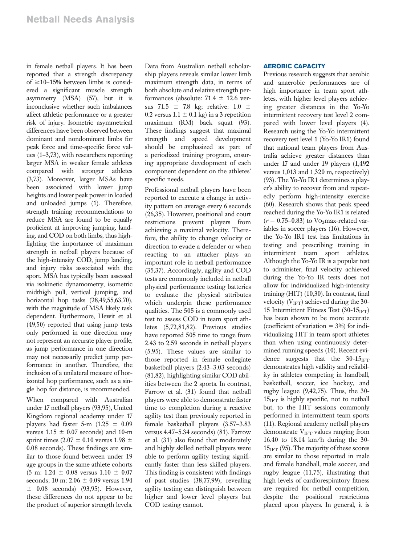in female netball players. It has been reported that a strength discrepancy of  $\geq$ 10–15% between limbs is considered a significant muscle strength asymmetry (MSA) (57), but it is inconclusive whether such imbalances affect athletic performance or a greater risk of injury. Isometric asymmetrical differences have been observed between dominant and nondominant limbs for peak force and time-specific force values (1–3,73), with researchers reporting larger MSA in weaker female athletes compared with stronger athletes (3,73). Moreover, larger MSAs have been associated with lower jump heights and lower peak power in loaded and unloaded jumps (1). Therefore, strength training recommendations to reduce MSA are found to be equally proficient at improving jumping, landing, and COD on both limbs, thus highlighting the importance of maximum strength in netball players because of the high-intensity COD, jump landing, and injury risks associated with the sport. MSA has typically been assessed via isokinetic dynamometry, isometric midthigh pull, vertical jumping, and horizontal hop tasks (28,49,55,63,70), with the magnitude of MSA likely task dependent. Furthermore, Hewit et al. (49,50) reported that using jump tests only performed in one direction may not represent an accurate player profile, as jump performance in one direction may not necessarily predict jump performance in another. Therefore, the inclusion of a unilateral measure of horizontal hop performance, such as a single hop for distance, is recommended.

When compared with Australian under 17 netball players (93,95), United Kingdom regional academy under 17 players had faster 5-m  $(1.25 \pm 0.09)$ versus  $1.15 \pm 0.07$  seconds) and 10-m sprint times (2.07  $\pm$  0.10 versus 1.98  $\pm$ 0.08 seconds). These findings are similar to those found between under 19 age groups in the same athlete cohorts  $(5 \text{ m}: 1.24 \pm 0.08 \text{ versus } 1.10 \pm 0.07)$ seconds; 10 m:  $2.06 \pm 0.09$  versus 1.94  $\pm$  0.08 seconds) (93,95). However, these differences do not appear to be the product of superior strength levels.

Data from Australian netball scholarship players reveals similar lower limb maximum strength data, in terms of both absolute and relative strength performances (absolute:  $71.4 \pm 12.6$  versus 71.5  $\pm$  7.8 kg; relative: 1.0  $\pm$ 0.2 versus  $1.1 \pm 0.1$  kg) in a 3 repetition maximum (RM) back squat (93). These findings suggest that maximal strength and speed development should be emphasized as part of a periodized training program, ensuring appropriate development of each component dependent on the athletes' specific needs.

Professional netball players have been reported to execute a change in activity pattern on average every 6 seconds (26,35). However, positional and court restrictions prevent players from achieving a maximal velocity. Therefore, the ability to change velocity or direction to evade a defender or when reacting to an attacker plays an important role in netball performance (35,37). Accordingly, agility and COD tests are commonly included in netball physical performance testing batteries to evaluate the physical attributes which underpin these performance qualities. The 505 is a commonly used test to assess COD in team sport athletes (5,72,81,82). Previous studies have reported 505 time to range from 2.43 to 2.59 seconds in netball players (5,95). These values are similar to those reported in female collegiate basketball players (2.43–3.03 seconds) (81,82), highlighting similar COD abilities between the 2 sports. In contrast, Farrow et al. (31) found that netball players were able to demonstrate faster time to completion during a reactive agility test than previously reported in female basketball players (3.57–3.83 versus 4.47–5.34 seconds) (81). Farrow et al. (31) also found that moderately and highly skilled netball players were able to perform agility testing significantly faster than less skilled players. This finding is consistent with findings of past studies (38,77,99), revealing agility testing can distinguish between higher and lower level players but COD testing cannot.

# AEROBIC CAPACITY

Previous research suggests that aerobic and anaerobic performances are of high importance in team sport athletes, with higher level players achieving greater distances in the Yo-Yo intermittent recovery test level 2 compared with lower level players (4). Research using the Yo-Yo intermittent recovery test level 1 (Yo-Yo IR1) found that national team players from Australia achieve greater distances than under 17 and under 19 players (1,492 versus 1,013 and 1,320 m, respectively) (93). The Yo-Yo IR1 determines a player's ability to recover from and repeatedly perform high-intensity exercise (60). Research shows that peak speed reached during the Yo-Yo IR1 is related  $(r = 0.75-0.83)$  to Vo<sub>2</sub>max-related variables in soccer players (16). However, the Yo-Yo IR1 test has limitations in testing and prescribing training in intermittent team sport athletes. Although the Yo-Yo IR is a popular test to administer, final velocity achieved during the Yo-Yo IR tests does not allow for individualized high-intensity training (HIT) (10,30). In contrast, final velocity  $(V_{\text{IFT}})$  achieved during the 30-15 Intermittent Fitness Test  $(30-15<sub>IFT</sub>)$ has been shown to be more accurate (coefficient of variation  $= 3\%$ ) for individualizing HIT in team sport athletes than when using continuously determined running speeds (10). Recent evidence suggests that the  $30-15$ <sub>IFT</sub> demonstrates high validity and reliability in athletes competing in handball, basketball, soccer, ice hockey, and rugby league (9,42,75). Thus, the 30-  $15<sub>IFT</sub>$  is highly specific, not to netball but, to the HIT sessions commonly performed in intermittent team sports (11). Regional academy netball players demonstrate  $V_{\text{IFT}}$  values ranging from 16.40 to 18.14 km/h during the 30-  $15<sub>IFT</sub>$  (95). The majority of these scores are similar to those reported in male and female handball, male soccer, and rugby league (11,75), illustrating that high levels of cardiorespiratory fitness are required for netball competition, despite the positional restrictions placed upon players. In general, it is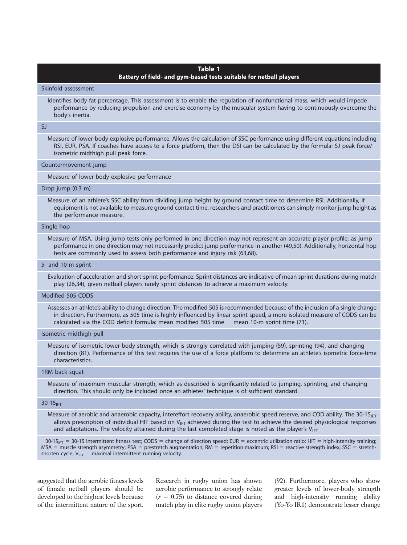# Table 1

#### Battery of field- and gym-based tests suitable for netball players

Skinfold assessment

Identifies body fat percentage. This assessment is to enable the regulation of nonfunctional mass, which would impede performance by reducing propulsion and exercise economy by the muscular system having to continuously overcome the body's inertia.

## SJ

Measure of lower-body explosive performance. Allows the calculation of SSC performance using different equations including RSI, EUR, PSA. If coaches have access to a force platform, then the DSI can be calculated by the formula: SJ peak force/ isometric midthigh pull peak force.

#### Countermovement jump

Measure of lower-body explosive performance

#### Drop jump (0.3 m)

Measure of an athlete's SSC ability from dividing jump height by ground contact time to determine RSI. Additionally, if equipment is not available to measure ground contact time, researchers and practitioners can simply monitor jump height as the performance measure.

# Single hop

Measure of MSA. Using jump tests only performed in one direction may not represent an accurate player profile, as jump performance in one direction may not necessarily predict jump performance in another (49,50). Additionally, horizontal hop tests are commonly used to assess both performance and injury risk (63,68).

#### 5- and 10-m sprint

Evaluation of acceleration and short-sprint performance. Sprint distances are indicative of mean sprint durations during match play (26,34), given netball players rarely sprint distances to achieve a maximum velocity.

#### Modified 505 CODS

Assesses an athlete's ability to change direction. The modified 505 is recommended because of the inclusion of a single change in direction. Furthermore, as 505 time is highly influenced by linear sprint speed, a more isolated measure of CODS can be calculated via the COD deficit formula: mean modified 505 time  $-$  mean 10-m sprint time (71).

#### Isometric midthigh pull

Measure of isometric lower-body strength, which is strongly correlated with jumping (59), sprinting (94), and changing direction (81). Performance of this test requires the use of a force platform to determine an athlete's isometric force-time characteristics.

#### 1RM back squat

Measure of maximum muscular strength, which as described is significantly related to jumping, sprinting, and changing direction. This should only be included once an athletes' technique is of sufficient standard.

#### $30-15$ IFT

Measure of aerobic and anaerobic capacity, intereffort recovery ability, anaerobic speed reserve, and COD ability. The 30-15<sub>IFT</sub> allows prescription of individual HIT based on  $V_{IFT}$  achieved during the test to achieve the desired physiological responses and adaptations. The velocity attained during the last completed stage is noted as the player's  $V_{IFT}$ 

 $30-15$ <sub>IFT</sub> = 30-15 intermittent fitness test; CODS = change of direction speed; EUR = eccentric utilization ratio; HIT = high-intensity training; MSA = muscle strength asymmetry; PSA = prestretch augmentation; RM = repetition maximum; RSI = reactive strength index; SSC = stretchshorten cycle;  $V_{\text{IFT}}$  = maximal intermittent running velocity.

suggested that the aerobic fitness levels of female netball players should be developed to the highest levels because of the intermittent nature of the sport.

Research in rugby union has shown aerobic performance to strongly relate  $(r = 0.75)$  to distance covered during match play in elite rugby union players

(92). Furthermore, players who show greater levels of lower-body strength and high-intensity running ability (Yo-Yo IR1) demonstrate lesser change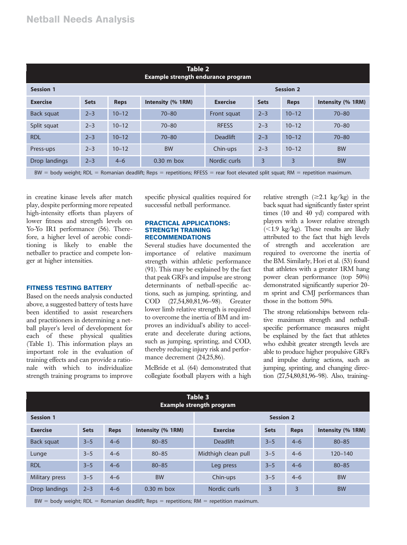| Table 2<br>Example strength endurance program |             |                   |                 |             |                  |                   |  |  |
|-----------------------------------------------|-------------|-------------------|-----------------|-------------|------------------|-------------------|--|--|
| <b>Session 1</b>                              |             |                   |                 |             | <b>Session 2</b> |                   |  |  |
| <b>Sets</b>                                   | <b>Reps</b> | Intensity (% 1RM) | <b>Exercise</b> | <b>Sets</b> | <b>Reps</b>      | Intensity (% 1RM) |  |  |
| $2 - 3$                                       | $10 - 12$   | $70 - 80$         | Front squat     | $2 - 3$     | $10 - 12$        | $70 - 80$         |  |  |
| $2 - 3$                                       | $10 - 12$   | $70 - 80$         | <b>RFESS</b>    | $2 - 3$     | $10 - 12$        | $70 - 80$         |  |  |
| $2 - 3$                                       | $10 - 12$   | $70 - 80$         | Deadlift        | $2 - 3$     | $10 - 12$        | $70 - 80$         |  |  |
| $2 - 3$                                       | $10 - 12$   | <b>BW</b>         | Chin-ups        | $2 - 3$     | $10 - 12$        | <b>BW</b>         |  |  |
| $2 - 3$                                       | $4 - 6$     | $0.30$ m box      | Nordic curls    | 3           | 3                | <b>BW</b>         |  |  |
|                                               |             |                   |                 |             |                  |                   |  |  |

 $BW = body weight$ ; RDL = Romanian deadlift; Reps = repetitions; RFESS = rear foot elevated split squat; RM = repetition maximum.

in creatine kinase levels after match play, despite performing more repeated high-intensity efforts than players of lower fitness and strength levels on Yo-Yo IR1 performance (56). Therefore, a higher level of aerobic conditioning is likely to enable the netballer to practice and compete longer at higher intensities.

# FITNESS TESTING BATTERY

Based on the needs analysis conducted above, a suggested battery of tests have been identified to assist researchers and practitioners in determining a netball player's level of development for each of these physical qualities (Table 1). This information plays an important role in the evaluation of training effects and can provide a rationale with which to individualize strength training programs to improve

specific physical qualities required for successful netball performance.

#### PRACTICAL APPLICATIONS: STRENGTH TRAINING RECOMMENDATIONS

Several studies have documented the importance of relative maximum strength within athletic performance (91). This may be explained by the fact that peak GRFs and impulse are strong determinants of netball-specific actions, such as jumping, sprinting, and COD (27,54,80,81,96–98). Greater lower limb relative strength is required to overcome the inertia of BM and improves an individual's ability to accelerate and decelerate during actions, such as jumping, sprinting, and COD, thereby reducing injury risk and performance decrement (24,25,86).

McBride et al. (64) demonstrated that collegiate football players with a high

relative strength  $(\geq 2.1 \text{ kg/kg})$  in the back squat had significantly faster sprint times (10 and 40 yd) compared with players with a lower relative strength  $\langle$  <1.9 kg/kg). These results are likely attributed to the fact that high levels of strength and acceleration are required to overcome the inertia of the BM. Similarly, Hori et al. (53) found that athletes with a greater 1RM hang power clean performance (top 50%) demonstrated significantly superior 20 m sprint and CMJ performances than those in the bottom 50%.

The strong relationships between relative maximum strength and netballspecific performance measures might be explained by the fact that athletes who exhibit greater strength levels are able to produce higher propulsive GRFs and impulse during actions, such as jumping, sprinting, and changing direction (27,54,80,81,96–98). Also, training-

| Table 3<br><b>Example strength program</b>                                                 |             |             |                   |                     |             |             |                   |
|--------------------------------------------------------------------------------------------|-------------|-------------|-------------------|---------------------|-------------|-------------|-------------------|
| <b>Session 1</b>                                                                           |             |             | <b>Session 2</b>  |                     |             |             |                   |
| <b>Exercise</b>                                                                            | <b>Sets</b> | <b>Reps</b> | Intensity (% 1RM) | <b>Exercise</b>     | <b>Sets</b> | <b>Reps</b> | Intensity (% 1RM) |
| Back squat                                                                                 | $3 - 5$     | $4 - 6$     | $80 - 85$         | <b>Deadlift</b>     | $3 - 5$     | $4 - 6$     | $80 - 85$         |
| Lunge                                                                                      | $3 - 5$     | $4 - 6$     | $80 - 85$         | Midthigh clean pull | $3 - 5$     | $4 - 6$     | $120 - 140$       |
| <b>RDL</b>                                                                                 | $3 - 5$     | $4 - 6$     | $80 - 85$         | Leg press           | $3 - 5$     | $4 - 6$     | $80 - 85$         |
| Military press                                                                             | $3 - 5$     | $4 - 6$     | <b>BW</b>         | Chin-ups            | $3 - 5$     | $4 - 6$     | <b>BW</b>         |
| Drop landings                                                                              | $2 - 3$     | $4 - 6$     | $0.30$ m box      | Nordic curls        | 3           | 3           | <b>BW</b>         |
| $BW = body weight$ ; RDL = Romanian deadlift; Reps = repetitions; RM = repetition maximum. |             |             |                   |                     |             |             |                   |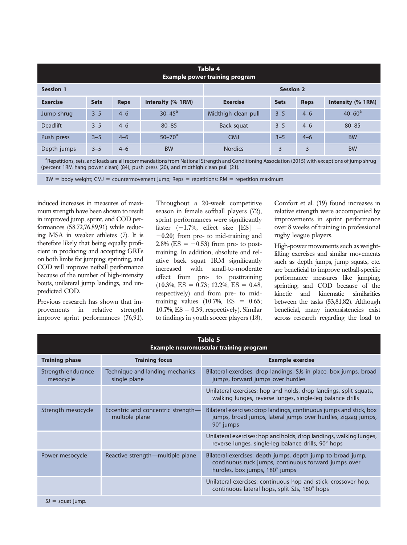| Table 4<br><b>Example power training program</b>                                                                                                           |             |             |                   |                     |             |             |                   |
|------------------------------------------------------------------------------------------------------------------------------------------------------------|-------------|-------------|-------------------|---------------------|-------------|-------------|-------------------|
| <b>Session 1</b>                                                                                                                                           |             |             | <b>Session 2</b>  |                     |             |             |                   |
| <b>Exercise</b>                                                                                                                                            | <b>Sets</b> | <b>Reps</b> | Intensity (% 1RM) | <b>Exercise</b>     | <b>Sets</b> | <b>Reps</b> | Intensity (% 1RM) |
| Jump shrug                                                                                                                                                 | $3 - 5$     | $4 - 6$     | $30 - 45^{\circ}$ | Midthigh clean pull | $3 - 5$     | $4 - 6$     | $40 - 60^{\circ}$ |
| <b>Deadlift</b>                                                                                                                                            | $3 - 5$     | $4 - 6$     | $80 - 85$         | Back squat          | $3 - 5$     | $4 - 6$     | $80 - 85$         |
| Push press                                                                                                                                                 | $3 - 5$     | $4 - 6$     | $50 - 70^{\circ}$ | <b>CMJ</b>          | $3 - 5$     | $4 - 6$     | <b>BW</b>         |
| Depth jumps                                                                                                                                                | $3 - 5$     | $4 - 6$     | <b>BW</b>         | <b>Nordics</b>      | 3           | 3           | <b>BW</b>         |
| <sup>a</sup> Repetitions, sets, and loads are all recommendations from National Strength and Conditioning Association (2015) with exceptions of jump shrug |             |             |                   |                     |             |             |                   |

(percent 1RM hang power clean) (84), push press (20), and midthigh clean pull (21).

 $BW = body weight; CMJ = countermovement jump; Reps = repetitions; RM = repetition maximum.$ 

induced increases in measures of maximum strength have been shown to result in improved jump, sprint, and COD performances (58,72,76,89,91) while reducing MSA in weaker athletes (7). It is therefore likely that being equally proficient in producing and accepting GRFs on both limbs for jumping, sprinting, and COD will improve netball performance because of the number of high-intensity bouts, unilateral jump landings, and unpredicted COD.

Previous research has shown that improvements in relative strength improve sprint performances (76,91). Throughout a 20-week competitive season in female softball players (72), sprint performances were significantly faster  $(-1.7\%$ , effect size [ES] =  $-0.20$ ) from pre- to mid-training and 2.8% (ES =  $-0.53$ ) from pre- to posttraining. In addition, absolute and relative back squat 1RM significantly increased with small-to-moderate effect from pre- to posttraining  $(10.3\%, ES = 0.73; 12.2\%, ES = 0.48,$ respectively) and from pre- to midtraining values  $(10.7\% , ES = 0.65;$ 10.7%,  $ES = 0.39$ , respectively). Similar to findings in youth soccer players (18), Comfort et al. (19) found increases in relative strength were accompanied by improvements in sprint performance over 8 weeks of training in professional rugby league players.

High-power movements such as weightlifting exercises and similar movements such as depth jumps, jump squats, etc. are beneficial to improve netball-specific performance measures like jumping, sprinting, and COD because of the kinetic and kinematic similarities between the tasks (53,81,82). Although beneficial, many inconsistencies exist across research regarding the load to

| Table 5<br><b>Example neuromuscular training program</b> |                                                      |                                                                                                                                                          |  |  |  |  |
|----------------------------------------------------------|------------------------------------------------------|----------------------------------------------------------------------------------------------------------------------------------------------------------|--|--|--|--|
| <b>Training phase</b>                                    | <b>Training focus</b>                                | <b>Example exercise</b>                                                                                                                                  |  |  |  |  |
| Strength endurance<br>mesocycle                          | Technique and landing mechanics—<br>single plane     | Bilateral exercises: drop landings, SJs in place, box jumps, broad<br>jumps, forward jumps over hurdles                                                  |  |  |  |  |
|                                                          |                                                      | Unilateral exercises: hop and holds, drop landings, split squats,<br>walking lunges, reverse lunges, single-leg balance drills                           |  |  |  |  |
| Strength mesocycle                                       | Eccentric and concentric strength-<br>multiple plane | Bilateral exercises: drop landings, continuous jumps and stick, box<br>jumps, broad jumps, lateral jumps over hurdles, zigzag jumps,<br>$90^\circ$ jumps |  |  |  |  |
|                                                          |                                                      | Unilateral exercises: hop and holds, drop landings, walking lunges,<br>reverse lunges, single-leg balance drills, 90° hops                               |  |  |  |  |
| Power mesocycle                                          | Reactive strength—multiple plane                     | Bilateral exercises: depth jumps, depth jump to broad jump,<br>continuous tuck jumps, continuous forward jumps over<br>hurdles, box jumps, 180° jumps    |  |  |  |  |
|                                                          |                                                      | Unilateral exercises: continuous hop and stick, crossover hop,<br>continuous lateral hops, split SJs, 180° hops                                          |  |  |  |  |
| $SI =$ squat jump.                                       |                                                      |                                                                                                                                                          |  |  |  |  |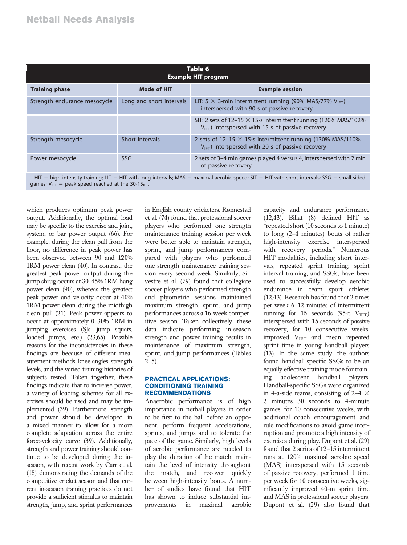| Table 6<br><b>Example HIT program</b>                                                                                                                 |                          |                                                                                                                                          |  |  |  |
|-------------------------------------------------------------------------------------------------------------------------------------------------------|--------------------------|------------------------------------------------------------------------------------------------------------------------------------------|--|--|--|
| <b>Training phase</b>                                                                                                                                 | <b>Mode of HIT</b>       | <b>Example session</b>                                                                                                                   |  |  |  |
| Strength endurance mesocycle                                                                                                                          | Long and short intervals | LIT: 5 $\times$ 3-min intermittent running (90% MAS/77% V <sub>IFT</sub> )<br>interspersed with 90 s of passive recovery                 |  |  |  |
|                                                                                                                                                       |                          | SIT: 2 sets of 12–15 $\times$ 15-s intermittent running (120% MAS/102%)<br>$V_{\text{IFT}}$ ) interspersed with 15 s of passive recovery |  |  |  |
| Strength mesocycle                                                                                                                                    | Short intervals          | 2 sets of 12–15 $\times$ 15-s intermittent running (130% MAS/110%)<br>$V_{\text{IET}}$ ) interspersed with 20 s of passive recovery      |  |  |  |
| Power mesocycle                                                                                                                                       | <b>SSG</b>               | 2 sets of 3–4 min games played 4 versus 4, interspersed with 2 min<br>of passive recovery                                                |  |  |  |
| $HIT = high-intensity training$ ; $LIT = HIT$ with long intervals; $MAS =$ maximal aerobic speed; $SIT = HIT$ with short intervals; SSG = small-sided |                          |                                                                                                                                          |  |  |  |

games;  $V_{\text{IFT}}$  = peak speed reached at the 30-15<sub>IFT</sub>.

which produces optimum peak power output. Additionally, the optimal load may be specific to the exercise and joint, system, or bar power output (66). For example, during the clean pull from the floor, no difference in peak power has been observed between 90 and 120% 1RM power clean (40). In contrast, the greatest peak power output during the jump shrug occurs at 30–45% 1RM hang power clean (90), whereas the greatest peak power and velocity occur at 40% 1RM power clean during the midthigh clean pull (21). Peak power appears to occur at approximately 0–30% 1RM in jumping exercises (SJs, jump squats, loaded jumps, etc.) (23,65). Possible reasons for the inconsistencies in these findings are because of different measurement methods, knee angles, strength levels, and the varied training histories of subjects tested. Taken together, these findings indicate that to increase power, a variety of loading schemes for all exercises should be used and may be implemented (39). Furthermore, strength and power should be developed in a mixed manner to allow for a more complete adaptation across the entire force-velocity curve (39). Additionally, strength and power training should continue to be developed during the inseason, with recent work by Carr et al. (15) demonstrating the demands of the competitive cricket season and that current in-season training practices do not provide a sufficient stimulus to maintain strength, jump, and sprint performances

in English county cricketers. Rønnestad et al. (74) found that professional soccer players who performed one strength maintenance training session per week were better able to maintain strength, sprint, and jump performances compared with players who performed one strength maintenance training session every second week. Similarly, Silvestre et al. (79) found that collegiate soccer players who performed strength and plyometric sessions maintained maximum strength, sprint, and jump performances across a 16-week competitive season. Taken collectively, these data indicate performing in-season strength and power training results in maintenance of maximum strength, sprint, and jump performances (Tables  $2-5$ ).

#### PRACTICAL APPLICATIONS: CONDITIONING TRAINING RECOMMENDATIONS

Anaerobic performance is of high importance in netball players in order to be first to the ball before an opponent, perform frequent accelerations, sprints, and jumps and to tolerate the pace of the game. Similarly, high levels of aerobic performance are needed to play the duration of the match, maintain the level of intensity throughout the match, and recover quickly between high-intensity bouts. A number of studies have found that HIT has shown to induce substantial improvements in maximal aerobic capacity and endurance performance (12,43). Billat (8) defined HIT as "repeated short (10 seconds to 1 minute) to long (2–4 minutes) bouts of rather high-intensity exercise interspersed with recovery periods." Numerous HIT modalities, including short intervals, repeated sprint training, sprint interval training, and SSGs, have been used to successfully develop aerobic endurance in team sport athletes (12,43). Research has found that 2 times per week 6–12 minutes of intermittent running for 15 seconds (95%  $V_{\text{IFT}}$ ) interspersed with 15 seconds of passive recovery, for 10 consecutive weeks, improved  $V_{\text{IFT}}$  and mean repeated sprint time in young handball players (13). In the same study, the authors found handball-specific SSGs to be an equally effective training mode for training adolescent handball players. Handball-specific SSGs were organized in 4-a-side teams, consisting of 2-4  $\times$ 2 minutes 30 seconds to 4-minute games, for 10 consecutive weeks, with additional coach encouragement and rule modifications to avoid game interruption and promote a high intensity of exercises during play. Dupont et al. (29) found that 2 series of 12–15 intermittent runs at 120% maximal aerobic speed (MAS) interspersed with 15 seconds of passive recovery, performed 1 time per week for 10 consecutive weeks, significantly improved 40-m sprint time and MAS in professional soccer players. Dupont et al. (29) also found that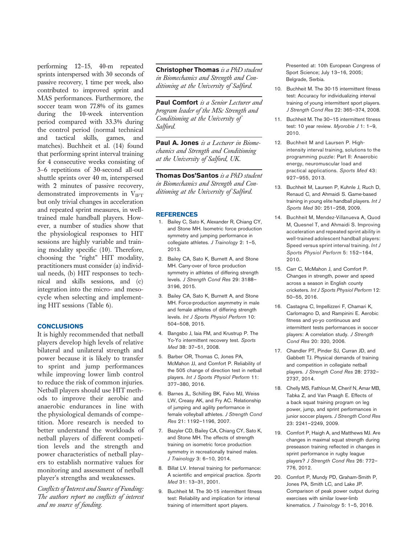performing 12–15, 40-m repeated sprints interspersed with 30 seconds of passive recovery, 1 time per week, also contributed to improved sprint and MAS performances. Furthermore, the soccer team won 77.8% of its games during the 10-week intervention period compared with 33.3% during the control period (normal technical and tactical skills, games, and matches). Buchheit et al. (14) found that performing sprint interval training for 4 consecutive weeks consisting of 3–6 repetitions of 30-second all-out shuttle sprints over 40 m, interspersed with 2 minutes of passive recovery, demonstrated improvements in  $V<sub>IFT</sub>$ but only trivial changes in acceleration and repeated sprint measures, in welltrained male handball players. However, a number of studies show that the physiological responses to HIT sessions are highly variable and training modality specific (10). Therefore, choosing the "right" HIT modality, practitioners must consider (a) individual needs, (b) HIT responses to technical and skills sessions, and (c) integration into the micro- and mesocycle when selecting and implementing HIT sessions (Table 6).

# **CONCLUSIONS**

It is highly recommended that netball players develop high levels of relative bilateral and unilateral strength and power because it is likely to transfer to sprint and jump performances while improving lower limb control to reduce the risk of common injuries. Netball players should use HIT methods to improve their aerobic and anaerobic endurances in line with the physiological demands of competition. More research is needed to better understand the workloads of netball players of different competition levels and the strength and power characteristics of netball players to establish normative values for monitoring and assessment of netball player's strengths and weaknesses.

Conflicts of Interest and Source of Funding: The authors report no conflicts of interest and no source of funding.

Christopher Thomas is a PhD student in Biomechanics and Strength and Conditioning at the University of Salford.

Paul Comfort is a Senior Lecturer and program leader of the MSc Strength and Conditioning at the University of Salford.

Paul A. Jones is a Lecturer in Biomechanics and Strength and Conditioning at the University of Salford, UK.

**Thomas Dos'Santos** is a PhD student in Biomechanics and Strength and Conditioning at the University of Salford.

#### **REFERENCES**

- 1. Bailey C, Sato K, Alexander R, Chiang CY, and Stone MH. Isometric force production symmetry and jumping performance in collegiate athletes. J Trainology 2: 1-5, 2013.
- 2. Bailey CA, Sato K, Burnett A, and Stone MH. Carry-over of force production symmetry in athletes of differing strength levels. J Strength Cond Res 29: 3188– 3196, 2015.
- 3. Bailey CA, Sato K, Burnett A, and Stone MH. Force-production asymmetry in male and female athletes of differing strength levels. Int J Sports Physiol Perform 10: 504–508, 2015.
- 4. Bangsbo J, Iaia FM, and Krustrup P. The Yo-Yo intermittent recovery test. Sports Med 38: 37–51, 2008.
- 5. Barber OR, Thomas C, Jones PA, McMahon JJ, and Comfort P. Reliability of the 505 change of direction test in netball players. Int J Sports Physiol Perform 11: 377–380, 2016.
- 6. Barnes JL, Schilling BK, Falvo MJ, Weiss LW, Creasy AK, and Fry AC. Relationship of jumping and agility performance in female volleyball athletes. J Strength Cond Res 21: 1192–1196, 2007.
- 7. Bazyler CD, Bailey CA, Chiang CY, Sato K, and Stone MH. The effects of strength training on isometric force production symmetry in recreationally trained males. J Trainology 3: 6–10, 2014.
- 8. Billat LV. Interval training for performance: A scientific and empirical practice. Sports Med 31: 13–31, 2001.
- 9. Buchheit M. The 30-15 intermittent fitness test: Reliability and implication for interval training of intermittent sport players.

Presented at: 10th European Congress of Sport Science; July 13–16, 2005; Belgrade, Serbia.

- 10. Buchheit M. The 30-15 intermittent fitness test: Accuracy for individualizing interval training of young intermittent sport players. J Strength Cond Res 22: 365–374, 2008.
- 11. Buchheit M. The 30–15 intermittent fitness test: 10 year review. Myorobie J 1: 1–9, 2010.
- 12. Buchheit M and Laursen P. Highintensity interval training, solutions to the programming puzzle: Part II: Anaerobic energy, neuromuscular load and practical applications. Sports Med 43: 927–955, 2013.
- 13. Buchheit M, Laursen P, Kuhnle J, Ruch D, Renaud C, and Ahmaidi S. Game-based training in young elite handball players. Int J Sports Med 30: 251–258, 2009.
- 14. Buchheit M, Mendez-Villanueva A, Quod M, Quesnel T, and Ahmaidi S. Improving acceleration and repeated sprint ability in well-trained adolescent handball players: Speed versus sprint interval training. Int J Sports Physiol Perform 5: 152–164, 2010.
- 15. Carr C, McMahon J, and Comfort P. Changes in strength, power and speed across a season in English county cricketers. Int J Sports Physiol Perform 12: 50–55, 2016.
- 16. Castagna C, Impellizzeri F, Chamari K, Carlomagno D, and Rampinini E. Aerobic fitness and yo-yo continuous and intermittent tests performances in soccer players: A correlation study. J Strength Cond Res 20: 320, 2006.
- 17. Chandler PT, Pinder SJ, Curran JD, and Gabbett TJ. Physical demands of training and competition in collegiate netball players. J Strength Cond Res 28: 2732– 2737, 2014.
- 18. Chelly MS, Fathloun M, Cherif N, Amar MB, Tabka Z, and Van Praagh E. Effects of a back squat training program on leg power, jump, and sprint performances in junior soccer players. J Strength Cond Res 23: 2241–2249, 2009.
- 19. Comfort P, Haigh A, and Matthews MJ. Are changes in maximal squat strength during preseason training reflected in changes in sprint performance in rugby league players? J Strength Cond Res 26: 772– 776, 2012.
- 20. Comfort P, Mundy PD, Graham-Smith P, Jones PA, Smith LC, and Lake JP. Comparison of peak power output during exercises with similar lower-limb kinematics. J Trainology 5: 1-5, 2016.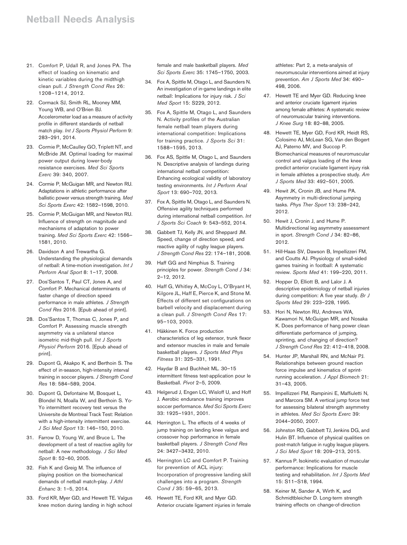- 21. Comfort P, Udall R, and Jones PA. The effect of loading on kinematic and kinetic variables during the midthigh clean pull. J Strength Cond Res 26: 1208–1214, 2012.
- 22. Cormack SJ, Smith RL, Mooney MM, Young WB, and O'Brien BJ. Accelerometer load as a measure of activity profile in different standards of netball match play. Int J Sports Physiol Perform 9: 283–291, 2014.
- 23. Cormie P, McCaulley GO, Triplett NT, and McBride JM. Optimal loading for maximal power output during lower-body resistance exercises. Med Sci Sports Exerc 39: 340, 2007.
- 24. Cormie P, McGuigan MR, and Newton RU. Adaptations in athletic performance after ballistic power versus strength training. Med Sci Sports Exerc 42: 1582–1598, 2010.
- 25. Cormie P, McGuigan MR, and Newton RU. Influence of strength on magnitude and mechanisms of adaptation to power training. Med Sci Sports Exerc 42: 1566– 1581, 2010.
- 26. Davidson A and Trewartha G. Understanding the physiological demands of netball: A time-motion investigation. Int J Perform Anal Sport 8: 1–17, 2008.
- 27. Dos'Santos T, Paul CT, Jones A, and Comfort P. Mechanical determinants of faster change of direction speed performance in male athletes. J Strength Cond Res 2016. [Epub ahead of print].
- 28. Dos'Santos T, Thomas C, Jones P, and Comfort P. Assessing muscle strength asymmetry via a unilateral stance isometric mid-thigh pull. Int J Sports Physiol Perform 2016. [Epub ahead of print].
- 29. Dupont G, Akakpo K, and Berthoin S. The effect of in-season, high-intensity interval training in soccer players. J Strength Cond Res 18: 584–589, 2004.
- 30. Dupont G, Defontaine M, Bosquet L, Blondel N, Moalla W, and Berthoin S. Yo-Yo intermittent recovery test versus the Universite de Montreal Track Test: Relation with a high-intensity intermittent exercise. J Sci Med Sport 13: 146–150, 2010.
- 31. Farrow D, Young W, and Bruce L. The development of a test of reactive agility for netball: A new methodology. J Sci Med Sport 8: 52–60, 2005.
- 32. Fish K and Greig M. The influence of playing position on the biomechanical demands of netball match-play. J Athl Enhanc 3: 1–5, 2014.
- 33. Ford KR, Myer GD, and Hewett TE. Valgus knee motion during landing in high school

female and male basketball players. Med Sci Sports Exerc 35: 1745–1750, 2003.

- 34. Fox A, Spittle M, Otago L, and Saunders N. An investigation of in-game landings in elite netball: Implications for injury risk. J Sci Med Sport 15: S229, 2012.
- 35. Fox A, Spittle M, Otago L, and Saunders N. Activity profiles of the Australian female netball team players during international competition: Implications for training practice. J Sports Sci 31: 1588–1595, 2013.
- 36. Fox AS, Spittle M, Otago L, and Saunders N. Descriptive analysis of landings during international netball competition: Enhancing ecological validity of laboratory testing environments. Int J Perform Anal Sport 13: 690–702, 2013.
- 37. Fox A, Spittle M, Otago L, and Saunders N. Offensive agility techniques performed during international netball competition. Int J Sports Sci Coach 9: 543–552, 2014.
- 38. Gabbett TJ, Kelly JN, and Sheppard JM. Speed, change of direction speed, and reactive agility of rugby league players. J Strength Cond Res 22: 174–181, 2008.
- 39. Haff GG and Nimphius S. Training principles for power. Strength Cond J 34: 2–12, 2012.
- 40. Haff G, Whitley A, McCoy L, O'Bryant H, Kilgore JL, Haff E, Pierce K, and Stone M. Effects of different set configurations on barbell velocity and displacement during a clean pull. J Strength Cond Res 17: 95–103, 2003.
- 41. Häkkinen K. Force production characteristics of leg extensor, trunk flexor and extensor muscles in male and female basketball players. J Sports Med Phys Fitness 31: 325–331, 1991.
- 42. Haydar B and Buchheit ML. 30–15 intermittent fitness test-application pour le Basketball. Pivot 2–5, 2009.
- 43. Helgerud J, Engen LC, Wisloff U, and Hoff J. Aerobic endurance training improves soccer performance. Med Sci Sports Exerc 33: 1925–1931, 2001.
- 44. Herrington L. The effects of 4 weeks of jump training on landing knee valgus and crossover hop performance in female basketball players. J Strength Cond Res 24: 3427–3432, 2010.
- 45. Herrington LC and Comfort P. Training for prevention of ACL injury: Incorporation of progressive landing skill challenges into a program. Strength Cond J 35: 59–65, 2013.
- 46. Hewett TE, Ford KR, and Myer GD. Anterior cruciate ligament injuries in female

athletes: Part 2, a meta-analysis of neuromuscular interventions aimed at injury prevention. Am J Sports Med 34: 490– 498, 2006.

- 47. Hewett TE and Myer GD. Reducing knee and anterior cruciate ligament injuries among female athletes: A systematic review of neuromuscular training interventions. J Knee Surg 18: 82–88, 2005.
- 48. Hewett TE, Myer GD, Ford KR, Heidt RS, Colosimo AJ, McLean SG, Van den Bogert AJ, Paterno MV, and Succop P. Biomechanical measures of neuromuscular control and valgus loading of the knee predict anterior cruciate ligament injury risk in female athletes a prospective study. Am J Sports Med 33: 492–501, 2005.
- 49. Hewit JK, Cronin JB, and Hume PA. Asymmetry in multi-directional jumping tasks. Phys Ther Sport 13: 238–242, 2012.
- 50. Hewit J, Cronin J, and Hume P. Multidirectional leg asymmetry assessment in sport. Strength Cond J 34: 82–86, 2012.
- 51. Hill-Haas SV, Dawson B, Impellizzeri FM, and Coutts AJ. Physiology of small-sided games training in football: A systematic review. Sports Med 41: 199–220, 2011.
- 52. Hopper D, Elliott B, and Lalor J. A descriptive epidemiology of netball injuries during competition: A five year study. Br J Sports Med 29: 223–228, 1995.
- 53. Hori N, Newton RU, Andrews WA, Kawamori N, McGuigan MR, and Nosaka K. Does performance of hang power clean differentiate performance of jumping, sprinting, and changing of direction? J Strength Cond Res 22: 412–418, 2008.
- 54. Hunter JP, Marshall RN, and McNair PJ. Relationships between ground reaction force impulse and kinematics of sprintrunning acceleration. J Appl Biomech 21: 31–43, 2005.
- 55. Impellizzeri FM, Rampinini E, Maffiuletti N, and Marcora SM. A vertical jump force test for assessing bilateral strength asymmetry in athletes. Med Sci Sports Exerc 39: 2044–2050, 2007.
- 56. Johnston RD, Gabbett TJ, Jenkins DG, and Hulin BT. Influence of physical qualities on post-match fatigue in rugby league players. J Sci Med Sport 18: 209–213, 2015.
- 57. Kannus P. Isokinetic evaluation of muscular performance: Implications for muscle testing and rehabilitation. Int J Sports Med 15: S11–S18, 1994.
- 58. Keiner M, Sander A, Wirth K, and Schmidtbleicher D. Long-term strength training effects on change-of-direction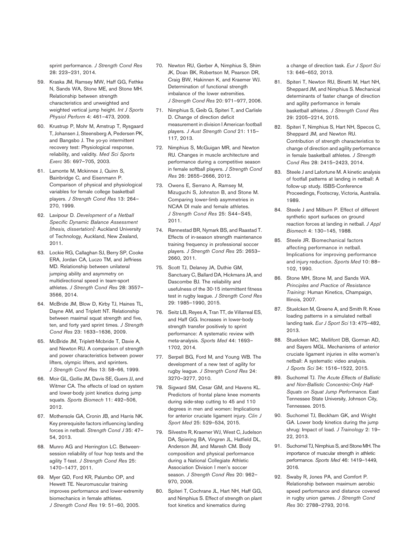sprint performance. J Strength Cond Res 28: 223–231, 2014.

- 59. Kraska JM, Ramsey MW, Haff GG, Fethke N, Sands WA, Stone ME, and Stone MH. Relationship between strength characteristics and unweighted and weighted vertical jump height. Int J Sports Physiol Perform 4: 461–473, 2009.
- 60. Krustrup P, Mohr M, Amstrup T, Rysgaard T, Johansen J, Steensberg A, Pedersen PK, and Bangsbo J. The yo-yo intermittent recovery test: Physiological response, reliability, and validity. Med Sci Sports Exerc 35: 697–705, 2003.
- 61. Lamonte M, Mckinnex J, Quinn S, Bainbridge C, and Eisenmann P. Comparison of physical and physiological variables for female college basketball players. J Strength Cond Res 13: 264– 270, 1999.
- 62. Lavipour D. Development of a Netball Specific Dynamic Balance Assessment [thesis, dissertation]: Auckland University of Technology, Auckland, New Zealand, 2011.
- 63. Lockie RG, Callaghan SJ, Berry SP, Cooke ERA, Jordan CA, Luczo TM, and Jeffriess MD. Relationship between unilateral jumping ability and asymmetry on multidirectional speed in team-sport athletes. J Strength Cond Res 28: 3557– 3566, 2014.
- 64. McBride JM, Blow D, Kirby TJ, Haines TL, Dayne AM, and Triplett NT. Relationship between maximal squat strength and five, ten, and forty yard sprint times. J Strength Cond Res 23: 1633–1636, 2009.
- 65. McBride JM, Triplett-Mcbride T, Davie A, and Newton RU. A comparison of strength and power characteristics between power lifters, olympic lifters, and sprinters. J Strength Cond Res 13: 58–66, 1999.
- 66. Moir GL, Gollie JM, Davis SE, Guers JJ, and Witmer CA. The effects of load on system and lower-body joint kinetics during jump squats. Sports Biomech 11: 492–506, 2012.
- 67. Mothersole GA, Cronin JB, and Harris NK. Key prerequisite factors influencing landing forces in netball. Strength Cond J 35: 47– 54, 2013.
- 68. Munro AG and Herrington LC. Betweensession reliability of four hop tests and the agility T-test. J Strength Cond Res 25: 1470–1477, 2011.
- 69. Myer GD, Ford KR, Palumbo OP, and Hewett TE. Neuromuscular training improves performance and lower-extremity biomechanics in female athletes. J Strength Cond Res 19: 51–60, 2005.
- 70. Newton RU, Gerber A, Nimphius S, Shim JK, Doan BK, Robertson M, Pearson DR, Craig BW, Hakinnen K, and Kraemer WJ. Determination of functional strength imbalance of the lower extremities. J Strength Cond Res 20: 971–977, 2006.
- 71. Nimphius S, Geib G, Spiteri T, and Carlisle D. Change of direction deficit measurement in division I American football players. J Aust Strength Cond 21: 115– 117, 2013.
- 72. Nimphius S, McGuigan MR, and Newton RU. Changes in muscle architecture and performance during a competitive season in female softball players. J Strength Cond Res 26: 2655–2666, 2012.
- 73. Owens E, Serrano A, Ramsey M, Mizuguchi S, Johnston B, and Stone M. Comparing lower-limb asymmetries in NCAA DI male and female athletes. J Strength Cond Res 25: S44–S45, 2011.
- 74. Rønnestad BR, Nymark BS, and Raastad T. Effects of in-season strength maintenance training frequency in professional soccer players. J Strength Cond Res 25: 2653– 2660, 2011.
- 75. Scott TJ, Delaney JA, Duthie GM, Sanctuary C, Ballard DA, Hickmans JA, and Dascombe BJ. The reliability and usefulness of the 30-15 intermittent fitness test in rugby league. J Strength Cond Res 29: 1985–1990, 2015.
- 76. Seitz LB, Reyes A, Tran TT, de Villarreal ES, and Haff GG. Increases in lower-body strength transfer positively to sprint performance: A systematic review with meta-analysis. Sports Med 44: 1693– 1702, 2014.
- 77. Serpell BG, Ford M, and Young WB. The development of a new test of agility for rugby league. J Strength Cond Res 24: 3270–3277, 2010.
- 78. Sigward SM, Cesar GM, and Havens KL. Predictors of frontal plane knee moments during side-step cutting to 45 and 110 degrees in men and women: Implications for anterior cruciate ligament injury. Clin J Sport Med 25: 529–534, 2015.
- 79. Silvestre R, Kraemer WJ, West C, Judelson DA, Spiering BA, Vingren JL, Hatfield DL, Anderson JM, and Maresh CM. Body composition and physical performance during a National Collegiate Athletic Association Division I men's soccer season. J Strength Cond Res 20: 962-970, 2006.
- 80. Spiteri T, Cochrane JL, Hart NH, Haff GG, and Nimphius S. Effect of strength on plant foot kinetics and kinematics during

a change of direction task. Eur J Sport Sci 13: 646–652, 2013.

- 81. Spiteri T, Newton RU, Binetti M, Hart NH, Sheppard JM, and Nimphius S. Mechanical determinants of faster change of direction and agility performance in female basketball athletes. J Strength Cond Res 29: 2205–2214, 2015.
- 82. Spiteri T, Nimphius S, Hart NH, Specos C, Sheppard JM, and Newton RU. Contribution of strength characteristics to change of direction and agility performance in female basketball athletes. J Strength Cond Res 28: 2415–2423, 2014.
- 83. Steele J and Lafortune M. A kinetic analysis of footfall patterns at landing in netball: A follow-up study. ISBS-Conference Proceedings, Footscray, Victoria, Australia. 1989.
- 84. Steele J and Milburn P. Effect of different synthetic sport surfaces on ground reaction forces at landing in netball. J Appl Biomech 4: 130–145, 1988.
- 85. Steele JR. Biomechanical factors affecting performance in netball. Implications for improving performance and injury reduction. Sports Med 10: 88– 102, 1990.
- 86. Stone MH, Stone M, and Sands WA. Principles and Practice of Resistance Training: Human Kinetics, Champaign, Illinois, 2007.
- 87. Stuelcken M, Greene A, and Smith R. Knee loading patterns in a simulated netball landing task. Eur J Sport Sci 13: 475-482, 2013.
- 88. Stuelcken MC, Mellifont DB, Gorman AD, and Sayers MGL. Mechanisms of anterior cruciate ligament injuries in elite women's netball: A systematic video analysis. J Sports Sci 34: 1516–1522, 2015.
- 89. Suchomel TJ. The Acute Effects of Ballistic and Non-Ballistic Concentric-Only Half-Squats on Squat Jump Performance. East Tennessee State University, Johnson City, Tennessee. 2015.
- 90. Suchomel TJ, Beckham GK, and Wright GA. Lower body kinetics during the jump shrug: Impact of load. J Trainology 2: 19-22, 2013.
- 91. Suchomel TJ, Nimphius S, and Stone MH. The importance of muscular strength in athletic performance. Sports Med 46: 1419–1449, 2016.
- 92. Swaby R, Jones PA, and Comfort P. Relationship between maximum aerobic speed performance and distance covered in rugby union games. J Strength Cond Res 30: 2788–2793, 2016.